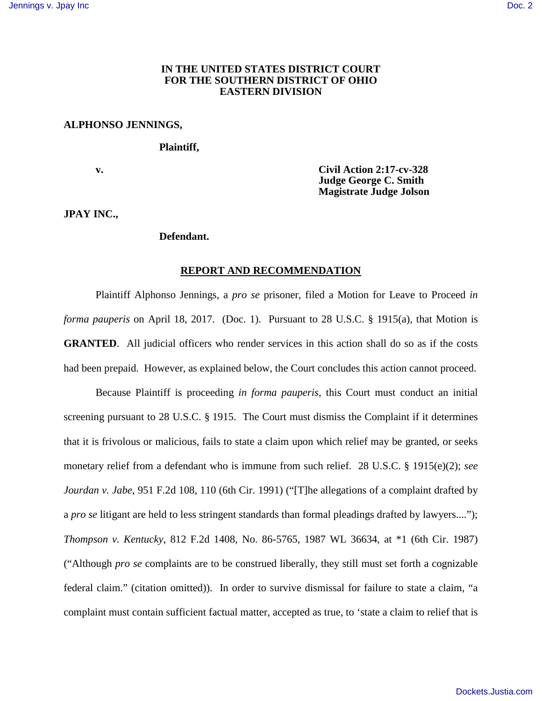# **IN THE UNITED STATES DISTRICT COURT FOR THE SOUTHERN DISTRICT OF OHIO EASTERN DIVISION**

# **ALPHONSO JENNINGS,**

 **Plaintiff,**

 **v. Civil Action 2:17-cv-328 Judge George C. Smith Magistrate Judge Jolson** 

**JPAY INC.,** 

## **Defendant.**

#### **REPORT AND RECOMMENDATION**

Plaintiff Alphonso Jennings, a *pro se* prisoner, filed a Motion for Leave to Proceed *in forma pauperis* on April 18, 2017. (Doc. 1). Pursuant to 28 U.S.C. § 1915(a), that Motion is **GRANTED.** All judicial officers who render services in this action shall do so as if the costs had been prepaid. However, as explained below, the Court concludes this action cannot proceed.

Because Plaintiff is proceeding *in forma pauperis*, this Court must conduct an initial screening pursuant to 28 U.S.C. § 1915. The Court must dismiss the Complaint if it determines that it is frivolous or malicious, fails to state a claim upon which relief may be granted, or seeks monetary relief from a defendant who is immune from such relief. 28 U.S.C. § 1915(e)(2); *see Jourdan v. Jabe*[, 951 F.2d 108, 110 \(6th Cir. 1991\)](https://1.next.westlaw.com/Link/Document/FullText?findType=Y&serNum=1991203557&pubNum=0000350&originatingDoc=I70c5c010e3e611e69a9296e6a6f4a986&refType=RP&fi=co_pp_sp_350_110&originationContext=document&transitionType=DocumentItem&contextData=(sc.Search)#co_pp_sp_350_110) ("[T]he allegations of a complaint drafted by a *pro se* litigant are held to less stringent standards than formal pleadings drafted by lawyers...."); *Thompson v. Kentucky*[, 812 F.2d 1408, No. 86-5765, 1987 WL 36634, at \\*1 \(6th Cir. 1987\)](https://1.next.westlaw.com/Link/Document/FullText?findType=Y&serNum=1987028864&pubNum=0000350&originatingDoc=I70c5c010e3e611e69a9296e6a6f4a986&refType=RP&originationContext=document&transitionType=DocumentItem&contextData=(sc.Search)) ("Although *pro se* complaints are to be construed liberally, they still must set forth a cognizable federal claim." (citation omitted)). In order to survive dismissal for failure to state a claim, "a complaint must contain sufficient factual matter, accepted as true, to 'state a claim to relief that is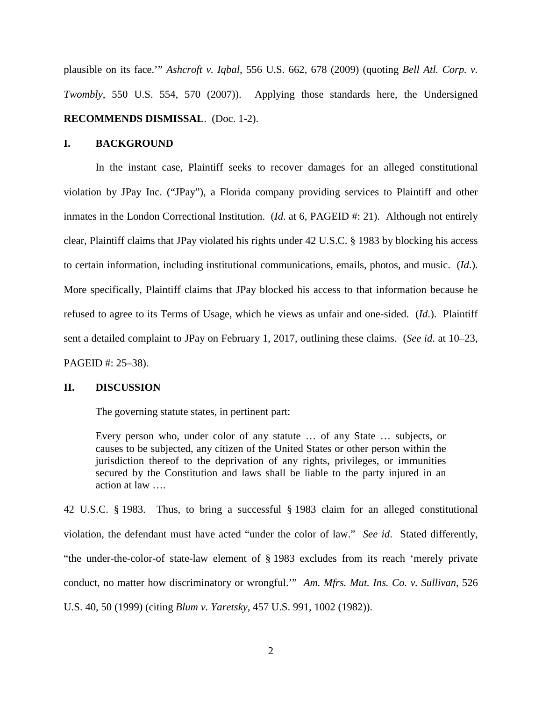plausible on its face.'" *Ashcroft v. Iqbal*[, 556 U.S. 662, 678 \(2009\)](https://1.next.westlaw.com/Link/Document/FullText?findType=Y&serNum=2018848474&pubNum=0000780&originatingDoc=I70c5c010e3e611e69a9296e6a6f4a986&refType=RP&fi=co_pp_sp_780_678&originationContext=document&transitionType=DocumentItem&contextData=(sc.Search)#co_pp_sp_780_678) (quoting *Bell Atl. Corp. v. Twombly*, 550 U.S. 554, 570 (2007)). Applying those standards here, the Undersigned **RECOMMENDS DISMISSAL**. (Doc. 1-2).

### **I. BACKGROUND**

In the instant case, Plaintiff seeks to recover damages for an alleged constitutional violation by JPay Inc. ("JPay"), a Florida company providing services to Plaintiff and other inmates in the London Correctional Institution. (*Id.* at 6, PAGEID #: 21). Although not entirely clear, Plaintiff claims that JPay violated his rights under 42 U.S.C. § 1983 by blocking his access to certain information, including institutional communications, emails, photos, and music. (*Id*.). More specifically, Plaintiff claims that JPay blocked his access to that information because he refused to agree to its Terms of Usage, which he views as unfair and one-sided. (*Id*.). Plaintiff sent a detailed complaint to JPay on February 1, 2017, outlining these claims. (*See id*. at 10–23, PAGEID #: 25–38).

### **II. DISCUSSION**

The governing statute states, in pertinent part:

Every person who, under color of any statute … of any State … subjects, or causes to be subjected, any citizen of the United States or other person within the jurisdiction thereof to the deprivation of any rights, privileges, or immunities secured by the Constitution and laws shall be liable to the party injured in an action at law ….

42 U.S.C. § 1983. Thus, to bring a successful § 1983 claim for an alleged constitutional violation, the defendant must have acted "under the color of law." *See id*. Stated differently, "the under-the-color-of state-law element of § 1983 excludes from its reach 'merely private conduct, no matter how discriminatory or wrongful.'" *Am. Mfrs. Mut. Ins. Co. v. Sullivan*, 526 U.S. 40, 50 (1999) (citing *Blum v. Yaretsky*, 457 U.S. 991, 1002 (1982)).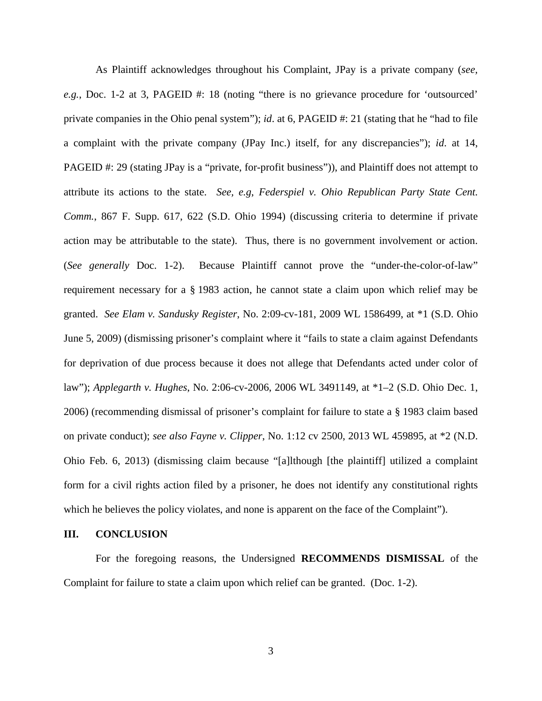As Plaintiff acknowledges throughout his Complaint, JPay is a private company (*see, e.g.*, Doc. 1-2 at 3, PAGEID #: 18 (noting "there is no grievance procedure for 'outsourced' private companies in the Ohio penal system"); *id*. at 6, PAGEID #: 21 (stating that he "had to file a complaint with the private company (JPay Inc.) itself, for any discrepancies"); *id*. at 14, PAGEID #: 29 (stating JPay is a "private, for-profit business")), and Plaintiff does not attempt to attribute its actions to the state. *See, e.g*, *Federspiel v. Ohio Republican Party State Cent. Comm.*, 867 F. Supp. 617, 622 (S.D. Ohio 1994) (discussing criteria to determine if private action may be attributable to the state). Thus, there is no government involvement or action. (*See generally* Doc. 1-2). Because Plaintiff cannot prove the "under-the-color-of-law" requirement necessary for a § 1983 action, he cannot state a claim upon which relief may be granted. *See Elam v. Sandusky Register*, No. 2:09-cv-181, 2009 WL 1586499, at \*1 (S.D. Ohio June 5, 2009) (dismissing prisoner's complaint where it "fails to state a claim against Defendants for deprivation of due process because it does not allege that Defendants acted under color of law"); *Applegarth v. Hughes*, No. 2:06-cv-2006, 2006 WL 3491149, at \*1–2 (S.D. Ohio Dec. 1, 2006) (recommending dismissal of prisoner's complaint for failure to state a § 1983 claim based on private conduct); *see also Fayne v. Clipper*, No. 1:12 cv 2500, 2013 WL 459895, at \*2 (N.D. Ohio Feb. 6, 2013) (dismissing claim because "[a]lthough [the plaintiff] utilized a complaint form for a civil rights action filed by a prisoner, he does not identify any constitutional rights which he believes the policy violates, and none is apparent on the face of the Complaint").

# **III. CONCLUSION**

For the foregoing reasons, the Undersigned **RECOMMENDS DISMISSAL** of the Complaint for failure to state a claim upon which relief can be granted. (Doc. 1-2).